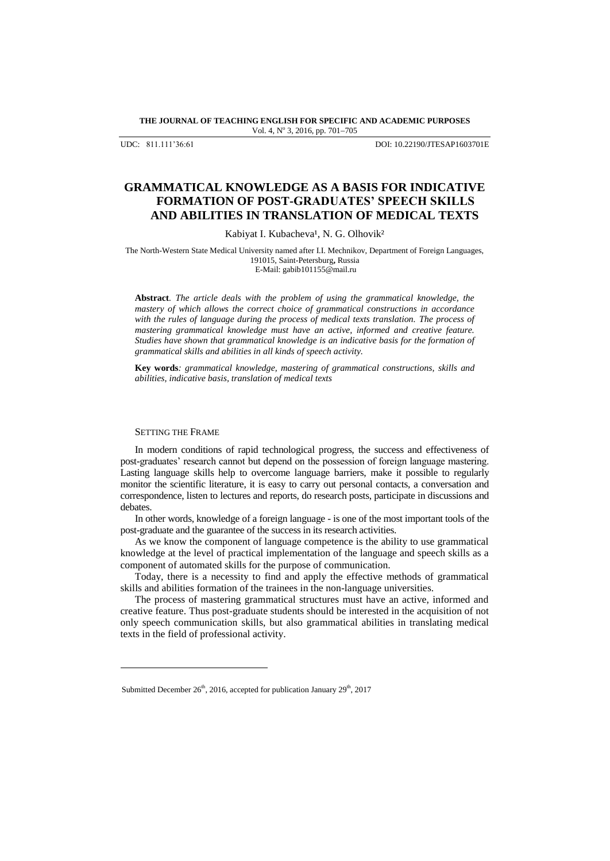#### **THE JOURNAL OF TEACHING ENGLISH FOR SPECIFIC AND ACADEMIC PURPOSES** Vol. 4, Nº 3, 2016, pp. 701-705

UDC: 811.111'36:61 DOI: 10.22190/JTESAP1603701E

# **GRAMMATICAL KNOWLEDGE AS A BASIS FOR INDICATIVE FORMATION OF POST-GRADUATES' SPEECH SKILLS AND ABILITIES IN TRANSLATION OF MEDICAL TEXTS**

#### Kabiyat I. Kubacheva<sup>1</sup>, N. G. Olhovik<sup>2</sup>

The North-Western State Medical University named after I.I. Mechnikov, Department of Foreign Languages, 191015, Saint-Petersburg**,** Russia E-Mail: gabib101155@mail.ru

**Abstract***. The article deals with the problem of using the grammatical knowledge, the mastery of which allows the correct choice of grammatical constructions in accordance with the rules of language during the process of medical texts translation. The process of mastering grammatical knowledge must have an active, informed and creative feature. Studies have shown that grammatical knowledge is an indicative basis for the formation of grammatical skills and abilities in all kinds of speech activity.*

**Key words***: grammatical knowledge, mastering of grammatical constructions, skills and abilities, indicative basis, translation of medical texts*

#### SETTING THE FRAME

l

In modern conditions of rapid technological progress, the success and effectiveness of post-graduates' research cannot but depend on the possession of foreign language mastering. Lasting language skills help to overcome language barriers, make it possible to regularly monitor the scientific literature, it is easy to carry out personal contacts, a conversation and correspondence, listen to lectures and reports, do research posts, participate in discussions and debates.

In other words, knowledge of a foreign language - is one of the most important tools of the post-graduate and the guarantee of the success in its research activities.

As we know the component of language competence is the ability to use grammatical knowledge at the level of practical implementation of the language and speech skills as a component of automated skills for the purpose of communication.

Today, there is a necessity to find and apply the effective methods of grammatical skills and abilities formation of the trainees in the non-language universities.

The process of mastering grammatical structures must have an active, informed and creative feature. Thus post-graduate students should be interested in the acquisition of not only speech communication skills, but also grammatical abilities in translating medical texts in the field of professional activity.

Submitted December  $26<sup>th</sup>$ , 2016, accepted for publication January  $29<sup>th</sup>$ , 2017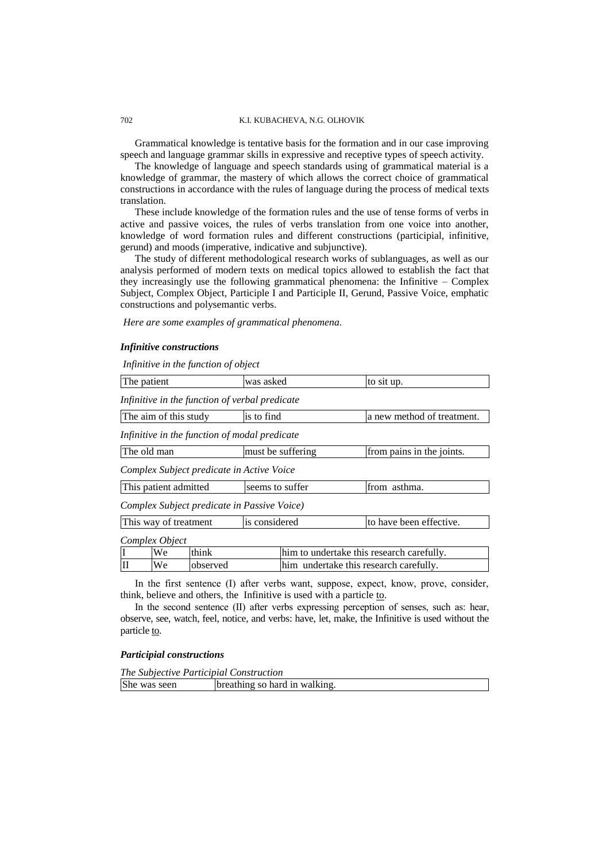Grammatical knowledge is tentative basis for the formation and in our case improving speech and language grammar skills in expressive and receptive types of speech activity.

The knowledge of language and speech standards using of grammatical material is a knowledge of grammar, the mastery of which allows the correct choice of grammatical constructions in accordance with the rules of language during the process of medical texts translation.

These include knowledge of the formation rules and the use of tense forms of verbs in active and passive voices, the rules of verbs translation from one voice into another, knowledge of word formation rules and different constructions (participial, infinitive, gerund) and moods (imperative, indicative and subjunctive).

The study of different methodological research works of sublanguages, as well as our analysis performed of modern texts on medical topics allowed to establish the fact that they increasingly use the following grammatical phenomena: the Infinitive – Complex Subject, Complex Object, Participle I and Participle II, Gerund, Passive Voice, emphatic constructions and polysemantic verbs.

*Here are some examples of grammatical phenomena.*

#### *Infinitive constructions*

*Infinitive in the function of object*

| The patient                                    | was asked         | to sit up.                                |  |  |
|------------------------------------------------|-------------------|-------------------------------------------|--|--|
| Infinitive in the function of verbal predicate |                   |                                           |  |  |
| The aim of this study                          | is to find        | a new method of treatment.                |  |  |
| Infinitive in the function of modal predicate  |                   |                                           |  |  |
| The old man                                    | must be suffering | from pains in the joints.                 |  |  |
| Complex Subject predicate in Active Voice      |                   |                                           |  |  |
| This patient admitted                          | seems to suffer   | from asthma.                              |  |  |
| Complex Subject predicate in Passive Voice)    |                   |                                           |  |  |
| This way of treatment                          | is considered     | to have been effective.                   |  |  |
| Complex Object                                 |                   |                                           |  |  |
| I<br>think<br>We                               |                   | him to undertake this research carefully. |  |  |

ΙΙ We observed him undertake this research carefully.

In the first sentence (I) after verbs want, suppose, expect, know, prove, consider, think, believe and others, the Infinitive is used with a particle to.

In the second sentence (II) after verbs expressing perception of senses, such as: hear, observe, see, watch, feel, notice, and verbs: have, let, make, the Infinitive is used without the particle to.

### *Participial constructions*

| The Subjective Participial Construction |                               |  |  |
|-----------------------------------------|-------------------------------|--|--|
| She was seen                            | breathing so hard in walking. |  |  |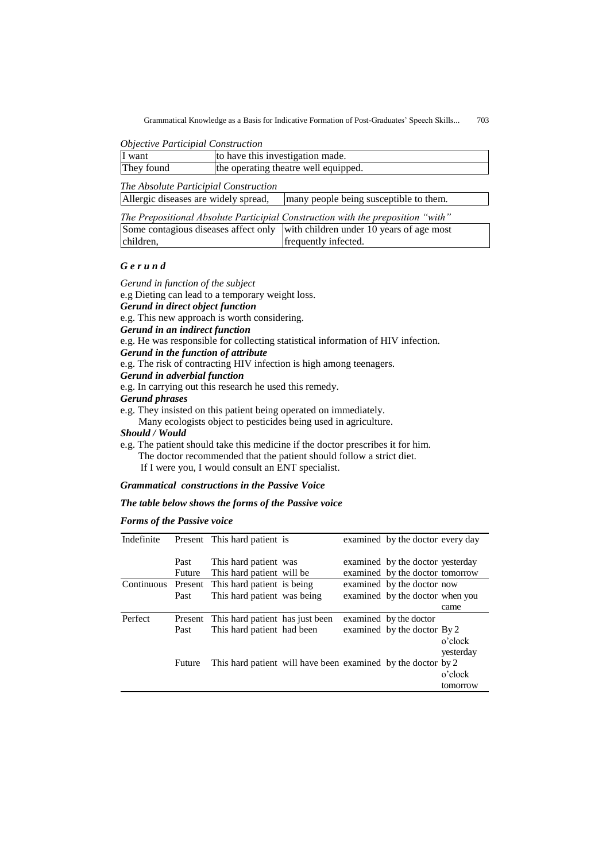Grammatical Knowledge as a Basis for Indicative Formation of Post-Graduates' Speech Skills... 703

| <b>Objective Participial Construction</b> |  |
|-------------------------------------------|--|
|-------------------------------------------|--|

| I want     | to have this investigation made.     |
|------------|--------------------------------------|
| They found | the operating theatre well equipped. |

*The Absolute Participial Construction*

| Allergic diseases are widely spread, | many people being susceptible to them. |
|--------------------------------------|----------------------------------------|
|                                      |                                        |

| The Prepositional Absolute Participial Construction with the preposition "with" |                                                                               |  |  |
|---------------------------------------------------------------------------------|-------------------------------------------------------------------------------|--|--|
|                                                                                 | Some contagious diseases affect only with children under 10 years of age most |  |  |
| children.                                                                       | frequently infected.                                                          |  |  |

## *G e r u n d*

*Gerund in function of the subject* e.g Dieting can lead to a temporary weight loss. *Gerund in direct object function* e.g. This new approach is worth considering. *Gerund in an indirect function*  e.g. He was responsible for collecting statistical information of HIV infection. *Gerund in the function of attribute* e.g. The risk of contracting HIV infection is high among teenagers. *Gerund in adverbial function* e.g. In carrying out this research he used this remedy. *Gerund phrases* e.g. They insisted on this patient being operated on immediately. Many ecologists object to pesticides being used in agriculture. *Should / Would* e.g. The patient should take this medicine if the doctor prescribes it for him.

 The doctor recommended that the patient should follow a strict diet. If I were you, I would consult an ENT specialist.

*Grammatical constructions in the Passive Voice*

# *The table below shows the forms of the Passive voice*

### *Forms of the Passive voice*

| Indefinite |               | Present This hard patient is                                 |  | examined by the doctor every day |           |
|------------|---------------|--------------------------------------------------------------|--|----------------------------------|-----------|
|            |               |                                                              |  |                                  |           |
|            |               |                                                              |  |                                  |           |
|            | Past          | This hard patient was                                        |  | examined by the doctor yesterday |           |
|            | <b>Future</b> | This hard patient will be                                    |  | examined by the doctor tomorrow  |           |
| Continuous | Present       | This hard patient is being                                   |  | examined by the doctor now       |           |
|            | Past          | This hard patient was being                                  |  | examined by the doctor when you  |           |
|            |               |                                                              |  |                                  | came      |
| Perfect    | Present       | This hard patient has just been                              |  | examined by the doctor           |           |
|            | Past          | This hard patient had been                                   |  | examined by the doctor By 2      |           |
|            |               |                                                              |  |                                  | o'clock   |
|            |               |                                                              |  |                                  | yesterday |
|            | Future        | This hard patient will have been examined by the doctor by 2 |  |                                  |           |
|            |               |                                                              |  |                                  | o'clock   |
|            |               |                                                              |  |                                  | tomorrow  |
|            |               |                                                              |  |                                  |           |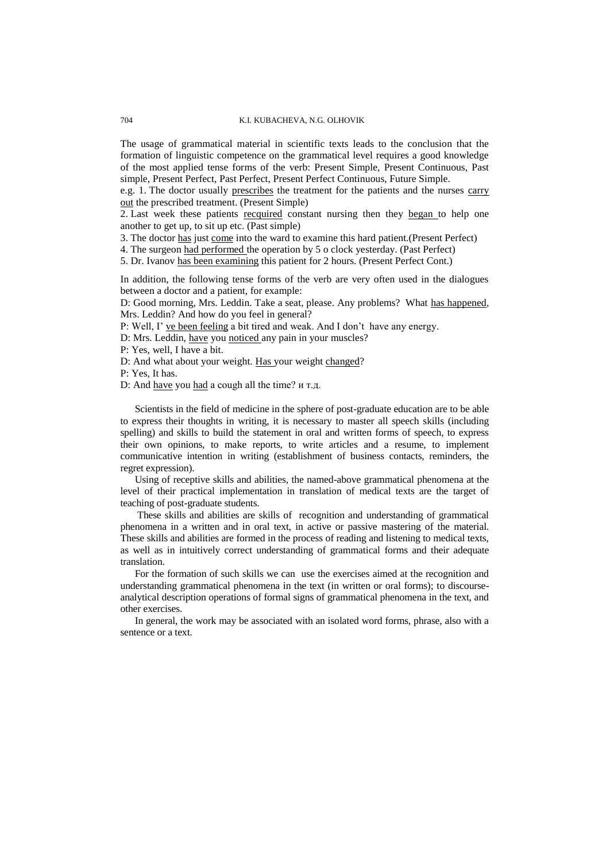The usage of grammatical material in scientific texts leads to the conclusion that the formation of linguistic competence on the grammatical level requires a good knowledge of the most applied tense forms of the verb: Present Simple, Present Continuous, Past simple, Present Perfect, Past Perfect, Present Perfect Continuous, Future Simple.

e.g. 1. The doctor usually prescribes the treatment for the patients and the nurses carry out the prescribed treatment. (Present Simple)

2. Last week these patients recquired constant nursing then they began to help one another to get up, to sit up etc. (Past simple)

3. The doctor has just come into the ward to examine this hard patient.(Present Perfect)

4. The surgeon had performed the operation by 5 o clock yesterday. (Past Perfect)

5. Dr. Ivanov has been examining this patient for 2 hours. (Present Perfect Cont.)

In addition, the following tense forms of the verb are very often used in the dialogues between a doctor and a patient, for example:

D: Good morning, Mrs. Leddin. Take a seat, please. Any problems? What has happened, Mrs. Leddin? And how do you feel in general?

P: Well, I' ve been feeling a bit tired and weak. And I don't have any energy.

D: Mrs. Leddin, have you noticed any pain in your muscles?

P: Yes, well, I have a bit.

D: And what about your weight. Has your weight changed?

P: Yes, It has.

D: And have you had a cough all the time? и т.д.

Scientists in the field of medicine in the sphere of post-graduate education are to be able to express their thoughts in writing, it is necessary to master all speech skills (including spelling) and skills to build the statement in oral and written forms of speech, to express their own opinions, to make reports, to write articles and a resume, to implement communicative intention in writing (establishment of business contacts, reminders, the regret expression).

Using of receptive skills and abilities, the named-above grammatical phenomena at the level of their practical implementation in translation of medical texts are the target of teaching of post-graduate students.

These skills and abilities are skills of recognition and understanding of grammatical phenomena in a written and in oral text, in active or passive mastering of the material. These skills and abilities are formed in the process of reading and listening to medical texts, as well as in intuitively correct understanding of grammatical forms and their adequate translation.

For the formation of such skills we can use the exercises aimed at the recognition and understanding grammatical phenomena in the text (in written or oral forms); to discourseanalytical description operations of formal signs of grammatical phenomena in the text, and other exercises.

In general, the work may be associated with an isolated word forms, phrase, also with a sentence or a text.